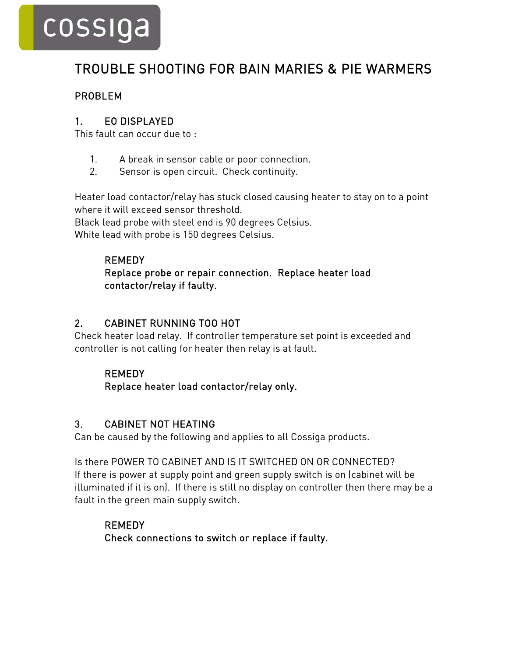# cossiga

# TROUBLE SHOOTING FOR BAIN MARIES & PIE WARMERS

### PROBLEM

#### 1. EO DISPLAYED

This fault can occur due to :

- 1. A break in sensor cable or poor connection.
- 2. Sensor is open circuit. Check continuity.

Heater load contactor/relay has stuck closed causing heater to stay on to a point where it will exceed sensor threshold.

Black lead probe with steel end is 90 degrees Celsius. White lead with probe is 150 degrees Celsius.

### REMEDY

#### Replace probe or repair connection. Replace heater load contactor/relay if faulty.

# 2. CABINET RUNNING TOO HOT

Check heater load relay. If controller temperature set point is exceeded and controller is not calling for heater then relay is at fault.

#### REMEDY

Replace heater load contactor/relay only.

# 3. CABINET NOT HEATING

Can be caused by the following and applies to all Cossiga products.

Is there POWER TO CABINET AND IS IT SWITCHED ON OR CONNECTED? If there is power at supply point and green supply switch is on (cabinet will be illuminated if it is on). If there is still no display on controller then there may be a fault in the green main supply switch.

# REMEDY Check connections to switch or replace if faulty.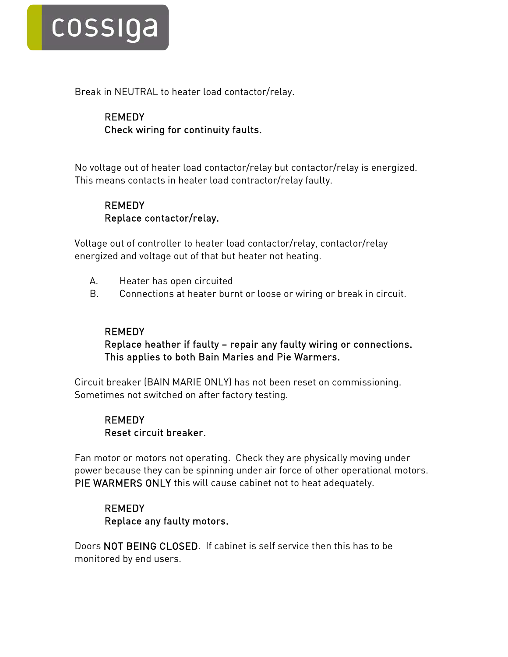

Break in NEUTRAL to heater load contactor/relay.

### REMEDY Check wiring for continuity faults.

No voltage out of heater load contactor/relay but contactor/relay is energized. This means contacts in heater load contractor/relay faulty.

#### **REMEDY** Replace contactor/relay.

Voltage out of controller to heater load contactor/relay, contactor/relay energized and voltage out of that but heater not heating.

- A. Heater has open circuited
- B. Connections at heater burnt or loose or wiring or break in circuit.

#### REMEDY

#### Replace heather if faulty – repair any faulty wiring or connections. This applies to both Bain Maries and Pie Warmers.

Circuit breaker (BAIN MARIE ONLY) has not been reset on commissioning. Sometimes not switched on after factory testing.

### REMEDY Reset circuit breaker.

Fan motor or motors not operating. Check they are physically moving under power because they can be spinning under air force of other operational motors. PIE WARMERS ONLY this will cause cabinet not to heat adequately.

#### REMEDY Replace any faulty motors.

Doors NOT BEING CLOSED. If cabinet is self service then this has to be monitored by end users.